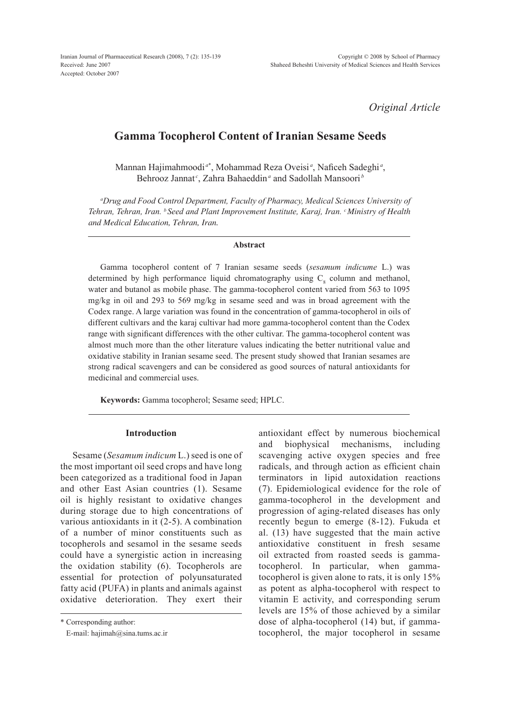Iranian Journal of Pharmaceutical Research (2008), 7 (2): 135-139 Received: June 2007 Accepted: October 2007

*Original Article*

# **Gamma Tocopherol Content of Iranian Sesame Seeds**

Mannan Hajimahmoodi<sup>a\*</sup>, Mohammad Reza Oveisi<sup>a</sup>, Naficeh Sadeghi<sup>a</sup>, Behrooz Jannat<sup>c</sup>, Zahra Bahaeddin<sup>a</sup> and Sadollah Mansoori<sup>*b*</sup>

*a Drug and Food Control Department, Faculty of Pharmacy, Medical Sciences University of Tehran, Tehran, Iran. b Seed and Plant Improvement Institute, Karaj, Iran. cMinistry of Health and Medical Education, Tehran, Iran.*

### **Abstract**

Gamma tocopherol content of 7 Iranian sesame seeds (*sesamum indicume* L.) was determined by high performance liquid chromatography using  $C_8$  column and methanol, water and butanol as mobile phase. The gamma-tocopherol content varied from 563 to 1095 mg/kg in oil and 293 to 569 mg/kg in sesame seed and was in broad agreement with the Codex range. A large variation was found in the concentration of gamma-tocopherol in oils of different cultivars and the karaj cultivar had more gamma-tocopherol content than the Codex range with significant differences with the other cultivar. The gamma-tocopherol content was almost much more than the other literature values indicating the better nutritional value and oxidative stability in Iranian sesame seed. The present study showed that Iranian sesames are strong radical scavengers and can be considered as good sources of natural antioxidants for medicinal and commercial uses.

**Keywords:** Gamma tocopherol; Sesame seed; HPLC.

# **Introduction**

Sesame (*Sesamum indicum* L.) seed is one of the most important oil seed crops and have long been categorized as a traditional food in Japan and other East Asian countries (1). Sesame oil is highly resistant to oxidative changes during storage due to high concentrations of various antioxidants in it (2-5). A combination of a number of minor constituents such as tocopherols and sesamol in the sesame seeds could have a synergistic action in increasing the oxidation stability (6). Tocopherols are essential for protection of polyunsaturated fatty acid (PUFA) in plants and animals against oxidative deterioration. They exert their

\* Corresponding author:

E-mail: hajimah@sina.tums.ac.ir

antioxidant effect by numerous biochemical and biophysical mechanisms, including scavenging active oxygen species and free radicals, and through action as efficient chain terminators in lipid autoxidation reactions (7). Epidemiological evidence for the role of gamma-tocopherol in the development and progression of aging-related diseases has only recently begun to emerge (8-12). Fukuda et al. (13) have suggested that the main active antioxidative constituent in fresh sesame oil extracted from roasted seeds is gammatocopherol. In particular, when gammatocopherol is given alone to rats, it is only 15% as potent as alpha-tocopherol with respect to vitamin E activity, and corresponding serum levels are 15% of those achieved by a similar dose of alpha-tocopherol (14) but, if gammatocopherol, the major tocopherol in sesame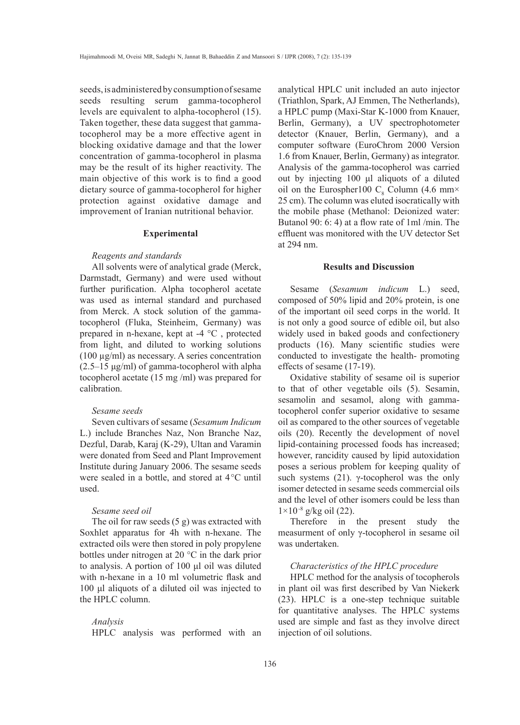seeds, is administered by consumption of sesame seeds resulting serum gamma-tocopherol levels are equivalent to alpha-tocopherol (15). Taken together, these data suggest that gammatocopherol may be a more effective agent in blocking oxidative damage and that the lower concentration of gamma-tocopherol in plasma may be the result of its higher reactivity. The main objective of this work is to find a good dietary source of gamma-tocopherol for higher protection against oxidative damage and improvement of Iranian nutritional behavior.

#### **Experimental**

#### *Reagents and standards*

All solvents were of analytical grade (Merck, Darmstadt, Germany) and were used without further purification. Alpha tocopherol acetate was used as internal standard and purchased from Merck. A stock solution of the gammatocopherol (Fluka, Steinheim, Germany) was prepared in n-hexane, kept at -4 °C , protected from light, and diluted to working solutions (100 µg/ml) as necessary. A series concentration (2.5–15 μg/ml) of gamma-tocopherol with alpha tocopherol acetate (15 mg /ml) was prepared for calibration.

# *Sesame seeds*

Seven cultivars of sesame (*Sesamum Indicum*  L.) include Branches Naz, Non Branche Naz, Dezful, Darab, Karaj (K-29), Ultan and Varamin were donated from Seed and Plant Improvement Institute during January 2006. The sesame seeds were sealed in a bottle, and stored at 4°C until used.

### *Sesame seed oil*

The oil for raw seeds (5 g) was extracted with Soxhlet apparatus for 4h with n-hexane. The extracted oils were then stored in poly propylene bottles under nitrogen at 20 °C in the dark prior to analysis. A portion of 100 μl oil was diluted with n-hexane in a 10 ml volumetric flask and 100 μl aliquots of a diluted oil was injected to the HPLC column.

# *Analysis*

HPLC analysis was performed with an

analytical HPLC unit included an auto injector (Triathlon, Spark, AJ Emmen, The Netherlands), a HPLC pump (Maxi-Star K-1000 from Knauer, Berlin, Germany), a UV spectrophotometer detector (Knauer, Berlin, Germany), and a computer software (EuroChrom 2000 Version 1.6 from Knauer, Berlin, Germany) as integrator. Analysis of the gamma-tocopherol was carried out by injecting 100 μl aliquots of a diluted oil on the Eurospher100  $C_8$  Column (4.6 mm× 25 cm). The column was eluted isocratically with the mobile phase (Methanol: Deionized water: Butanol 90: 6: 4) at a flow rate of 1ml /min. The effluent was monitored with the UV detector Set at 294 nm.

### **Results and Discussion**

Sesame (*Sesamum indicum* L.) seed, composed of 50% lipid and 20% protein, is one of the important oil seed corps in the world. It is not only a good source of edible oil, but also widely used in baked goods and confectionery products (16). Many scientific studies were conducted to investigate the health- promoting effects of sesame (17-19).

Oxidative stability of sesame oil is superior to that of other vegetable oils (5). Sesamin, sesamolin and sesamol, along with gammatocopherol confer superior oxidative to sesame oil as compared to the other sources of vegetable oils (20). Recently the development of novel lipid-containing processed foods has increased; however, rancidity caused by lipid autoxidation poses a serious problem for keeping quality of such systems (21). γ-tocopherol was the only isomer detected in sesame seeds commercial oils and the level of other isomers could be less than  $1 \times 10^{-8}$  g/kg oil (22).

Therefore in the present study the measurment of only γ-tocopherol in sesame oil was undertaken.

# *Characteristics of the HPLC procedure*

HPLC method for the analysis of tocopherols in plant oil was first described by Van Niekerk (23). HPLC is a one-step technique suitable for quantitative analyses. The HPLC systems used are simple and fast as they involve direct injection of oil solutions.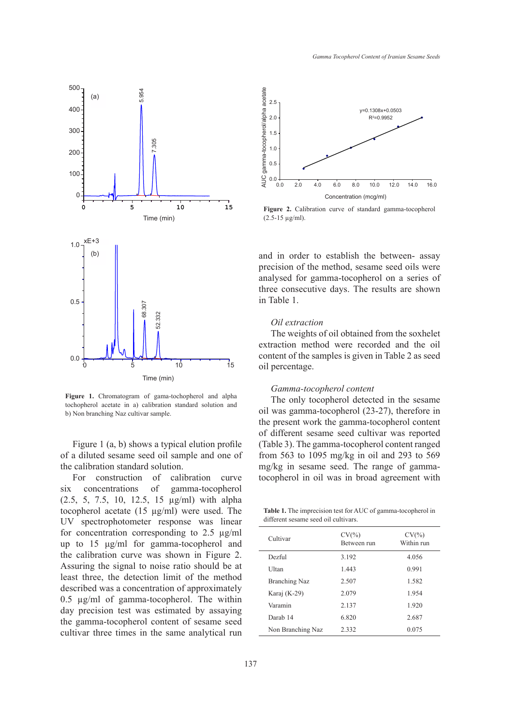

**Figure 1.** Chromatogram of gama-tochopherol and alpha tochopherol acetate in a) calibration standard solution and b) Non branching Naz cultivar sample.

Figure 1 (a, b) shows a typical elution profile of a diluted sesame seed oil sample and one of the calibration standard solution.

For construction of calibration curve six concentrations of gamma-tocopherol (2.5, 5, 7.5, 10, 12.5, 15 µg/ml) with alpha tocopherol acetate (15 µg/ml) were used. The UV spectrophotometer response was linear for concentration corresponding to 2.5 µg/ml up to 15 μg/ml for gamma-tocopherol and the calibration curve was shown in Figure 2. Assuring the signal to noise ratio should be at least three, the detection limit of the method described was a concentration of approximately 0.5 µg/ml of gamma-tocopherol. The within day precision test was estimated by assaying the gamma-tocopherol content of sesame seed cultivar three times in the same analytical run



**Figure 2.** Calibration curve of standard gamma-tocopherol (2.5-15 µg/ml).

and in order to establish the between- assay precision of the method, sesame seed oils were analysed for gamma-tocopherol on a series of three consecutive days. The results are shown in Table 1.

# *Oil extraction*

The weights of oil obtained from the soxhelet extraction method were recorded and the oil content of the samples is given in Table 2 as seed oil percentage.

### *Gamma-tocopherol content*

The only tocopherol detected in the sesame oil was gamma-tocopherol (23-27), therefore in the present work the gamma-tocopherol content of different sesame seed cultivar was reported (Table 3). The gamma-tocopherol content ranged from 563 to 1095 mg/kg in oil and 293 to 569 mg/kg in sesame seed. The range of gammatocopherol in oil was in broad agreement with

**Table 1.** The imprecision test for AUC of gamma-tocopherol in different sesame seed oil cultivars.

| Cultivar             | $CV(\% )$<br>Between run | $CV(\% )$<br>Within run |
|----------------------|--------------------------|-------------------------|
| Dezful               | 3.192                    | 4.056                   |
| Ultan                | 1.443                    | 0.991                   |
| <b>Branching Naz</b> | 2.507                    | 1.582                   |
| Karaj (K-29)         | 2.079                    | 1.954                   |
| Varamin              | 2.137                    | 1.920                   |
| Darab 14             | 6.820                    | 2.687                   |
| Non Branching Naz    | 2.332                    | 0.075                   |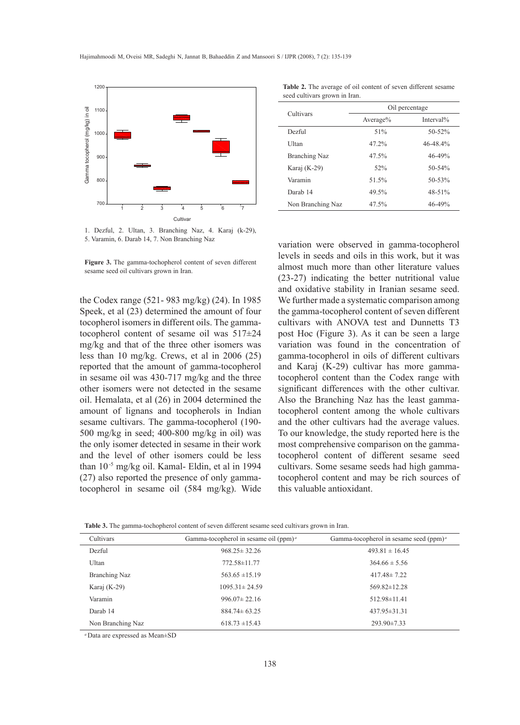

1. Dezful, 2. Ultan, 3. Branching Naz, 4. Karaj (k-29),

**Figure 3.** The gamma-tochopherol content of seven different sesame seed oil cultivars grown in Iran.

the Codex range (521- 983 mg/kg) (24). In 1985 Speek, et al (23) determined the amount of four tocopherol isomers in different oils. The gammatocopherol content of sesame oil was 517±24 mg/kg and that of the three other isomers was less than 10 mg/kg. Crews, et al in 2006 (25) reported that the amount of gamma-tocopherol in sesame oil was 430-717 mg/kg and the three other isomers were not detected in the sesame oil. Hemalata, et al (26) in 2004 determined the amount of lignans and tocopherols in Indian sesame cultivars. The gamma-tocopherol (190- 500 mg/kg in seed; 400-800 mg/kg in oil) was the only isomer detected in sesame in their work and the level of other isomers could be less than 10-5 mg/kg oil. Kamal- Eldin, et al in 1994 (27) also reported the presence of only gammatocopherol in sesame oil (584 mg/kg). Wide

**Table 2.** The average of oil content of seven different sesame seed cultivars grown in Iran.

| Cultivars            | Oil percentage |             |
|----------------------|----------------|-------------|
|                      | Average $%$    | Interval%   |
| Dezful               | 51%            | $50 - 52%$  |
| Ultan                | 47.2%          | 46-48.4%    |
| <b>Branching Naz</b> | 47.5%          | 46-49%      |
| Karaj (K-29)         | 52%            | $50 - 54\%$ |
| Varamin              | 51.5%          | $50 - 53%$  |
| Darah 14             | 49.5%          | $48 - 51%$  |
| Non Branching Naz    | 47.5%          | $46 - 49%$  |

5. Varamin, 6. Darab 14, 7. Non Branching Naz variation were observed in gamma-tocopherol levels in seeds and oils in this work, but it was almost much more than other literature values (23-27) indicating the better nutritional value and oxidative stability in Iranian sesame seed. We further made a systematic comparison among the gamma-tocopherol content of seven different cultivars with ANOVA test and Dunnetts T3 post Hoc (Figure 3). As it can be seen a large variation was found in the concentration of gamma-tocopherol in oils of different cultivars and Karaj (K-29) cultivar has more gammatocopherol content than the Codex range with significant differences with the other cultivar. Also the Branching Naz has the least gammatocopherol content among the whole cultivars and the other cultivars had the average values. To our knowledge, the study reported here is the most comprehensive comparison on the gammatocopherol content of different sesame seed cultivars. Some sesame seeds had high gammatocopherol content and may be rich sources of this valuable antioxidant.

**Table 3.** The gamma-tochopherol content of seven different sesame seed cultivars grown in Iran.

| Cultivars         | Gamma-tocopherol in sesame oil (ppm) <sup><i>a</i></sup> | Gamma-tocopherol in sesame seed $(ppm)^a$ |
|-------------------|----------------------------------------------------------|-------------------------------------------|
| Dezful            | $968.25 \pm 32.26$                                       | $493.81 \pm 16.45$                        |
| Ultan             | 772.58±11.77                                             | $364.66 \pm 5.56$                         |
| Branching Naz     | $563.65 \pm 15.19$                                       | $417.48 \pm 7.22$                         |
| Karaj (K-29)      | $1095.31 \pm 24.59$                                      | $569.82 \pm 12.28$                        |
| Varamin           | $996.07 \pm 22.16$                                       | 512.98±11.41                              |
| Darab 14          | $884.74 \pm 63.25$                                       | $437.95 \pm 31.31$                        |
| Non Branching Naz | $618.73 \pm 15.43$                                       | $293.90 \pm 7.33$                         |

*<sup>a</sup>*Data are expressed as Mean±SD